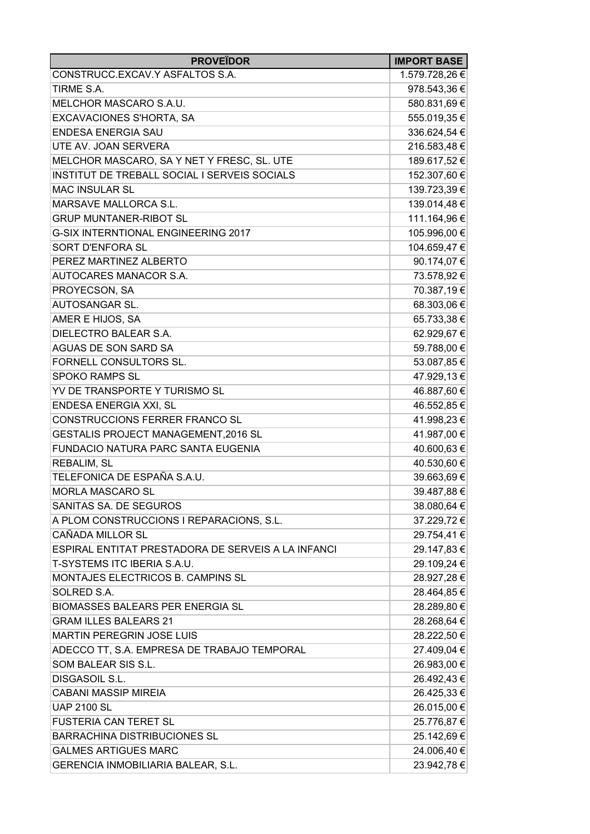| <b>PROVEÏDOR</b>                                   | <b>IMPORT BASE</b> |
|----------------------------------------------------|--------------------|
| CONSTRUCC.EXCAV.Y ASFALTOS S.A.                    | 1.579.728,26 €     |
| TIRME S.A.                                         | 978.543,36 €       |
| MELCHOR MASCARO S.A.U.                             | 580.831,69€        |
| <b>EXCAVACIONES S'HORTA, SA</b>                    | 555.019,35€        |
| <b>ENDESA ENERGIA SAU</b>                          | 336.624,54 €       |
| UTE AV. JOAN SERVERA                               | 216.583,48 €       |
| MELCHOR MASCARO, SA Y NET Y FRESC, SL. UTE         | 189.617,52 €       |
| INSTITUT DE TREBALL SOCIAL I SERVEIS SOCIALS       | 152.307,60 €       |
| <b>MAC INSULAR SL</b>                              | 139.723,39€        |
| MARSAVE MALLORCA S.L.                              | 139.014,48€        |
| <b>GRUP MUNTANER-RIBOT SL</b>                      | 111.164,96 €       |
| <b>G-SIX INTERNTIONAL ENGINEERING 2017</b>         | 105.996,00 €       |
| SORT D'ENFORA SL                                   | 104.659,47€        |
| PEREZ MARTINEZ ALBERTO                             | 90.174,07€         |
| AUTOCARES MANACOR S.A.                             | 73.578,92 €        |
| PROYECSON, SA                                      | 70.387,19€         |
| AUTOSANGAR SL.                                     | 68.303,06 €        |
| AMER E HIJOS, SA                                   | 65.733,38 €        |
| DIELECTRO BALEAR S.A.                              | 62.929,67€         |
| AGUAS DE SON SARD SA                               | 59.788,00 €        |
| FORNELL CONSULTORS SL.                             | 53.087,85 €        |
| <b>SPOKO RAMPS SL</b>                              | 47.929,13€         |
| YV DE TRANSPORTE Y TURISMO SL                      | 46.887,60 €        |
| ENDESA ENERGIA XXI, SL                             | 46.552,85 €        |
| CONSTRUCCIONS FERRER FRANCO SL                     | 41.998,23 €        |
| GESTALIS PROJECT MANAGEMENT, 2016 SL               | 41.987,00 €        |
| FUNDACIO NATURA PARC SANTA EUGENIA                 | 40.600,63 €        |
| REBALIM, SL                                        | 40.530,60 €        |
| TELEFONICA DE ESPAÑA S.A.U.                        | 39.663,69 €        |
| <b>MORLA MASCARO SL</b>                            | 39.487,88€         |
| SANITAS SA. DE SEGUROS                             | 38.080,64 €        |
| A PLOM CONSTRUCCIONS I REPARACIONS, S.L.           | 37.229,72 €        |
| CAÑADA MILLOR SL                                   | 29.754,41€         |
| ESPIRAL ENTITAT PRESTADORA DE SERVEIS A LA INFANCI | 29.147,83 €        |
| T-SYSTEMS ITC IBERIA S.A.U.                        | 29.109,24 €        |
| MONTAJES ELECTRICOS B. CAMPINS SL                  | 28.927,28 €        |
| SOLRED S.A.                                        | 28.464,85 €        |
| <b>BIOMASSES BALEARS PER ENERGIA SL</b>            | 28.289,80 €        |
| <b>GRAM ILLES BALEARS 21</b>                       | 28.268,64 €        |
| <b>MARTIN PEREGRIN JOSE LUIS</b>                   | 28.222,50 €        |
| ADECCO TT, S.A. EMPRESA DE TRABAJO TEMPORAL        | 27.409,04 €        |
| SOM BALEAR SIS S.L.                                | 26.983,00 €        |
| DISGASOIL S.L.                                     | 26.492,43 €        |
| <b>CABANI MASSIP MIREIA</b>                        | 26.425,33 €        |
| <b>UAP 2100 SL</b>                                 | 26.015,00 €        |
| <b>FUSTERIA CAN TERET SL</b>                       | 25.776,87 €        |
| <b>BARRACHINA DISTRIBUCIONES SL</b>                | 25.142,69 €        |
| <b>GALMES ARTIGUES MARC</b>                        | 24.006,40 €        |
| GERENCIA INMOBILIARIA BALEAR, S.L.                 | 23.942,78 €        |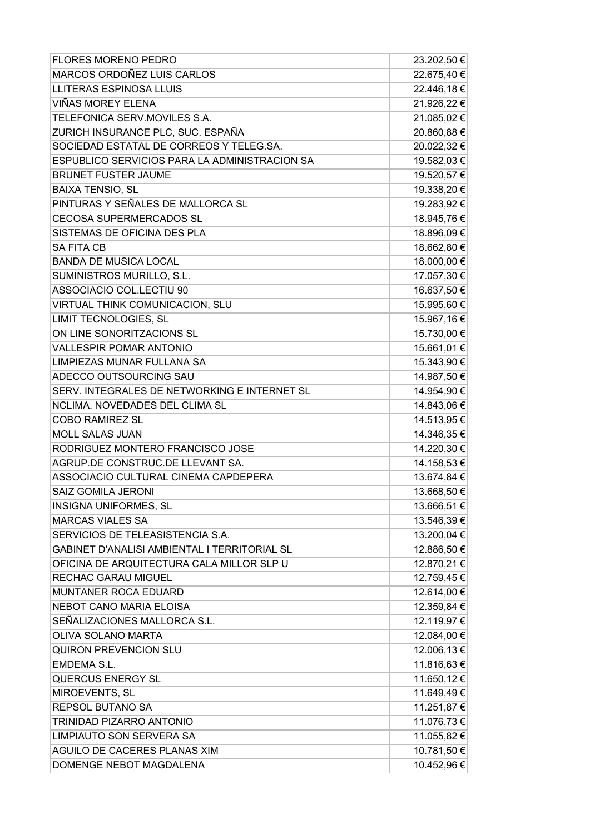| MARCOS ORDOÑEZ LUIS CARLOS<br>22.675,40 €<br><b>LLITERAS ESPINOSA LLUIS</b><br>22.446,18€<br>VIÑAS MOREY ELENA<br>21.926,22 €<br>TELEFONICA SERV.MOVILES S.A.<br>21.085,02€<br>ZURICH INSURANCE PLC, SUC. ESPAÑA<br>20.860,88€<br>SOCIEDAD ESTATAL DE CORREOS Y TELEG.SA.<br>20.022,32 €<br>ESPUBLICO SERVICIOS PARA LA ADMINISTRACION SA<br>19.582,03€<br><b>BRUNET FUSTER JAUME</b><br>19.520,57€<br><b>BAIXA TENSIO, SL</b><br>19.338,20 €<br>PINTURAS Y SEÑALES DE MALLORCA SL<br>19.283,92 €<br><b>CECOSA SUPERMERCADOS SL</b><br>18.945,76€<br>SISTEMAS DE OFICINA DES PLA<br>18.896,09€<br><b>SA FITA CB</b><br>18.662,80 €<br><b>BANDA DE MUSICA LOCAL</b><br>18.000,00 €<br>17.057,30 €<br>SUMINISTROS MURILLO, S.L.<br>ASSOCIACIO COL.LECTIU 90<br>16.637,50 €<br>VIRTUAL THINK COMUNICACION, SLU<br>15.995,60 €<br>LIMIT TECNOLOGIES, SL<br>15.967,16€<br>ON LINE SONORITZACIONS SL<br>15.730,00 €<br>15.661,01€<br><b>VALLESPIR POMAR ANTONIO</b><br>15.343,90 €<br>LIMPIEZAS MUNAR FULLANA SA<br>14.987,50 €<br>ADECCO OUTSOURCING SAU<br>SERV. INTEGRALES DE NETWORKING E INTERNET SL<br>14.954,90 €<br>NCLIMA. NOVEDADES DEL CLIMA SL<br>14.843,06 €<br><b>COBO RAMIREZ SL</b><br>14.513,95 €<br>14.346,35 €<br><b>MOLL SALAS JUAN</b><br>RODRIGUEZ MONTERO FRANCISCO JOSE<br>14.220,30 €<br>AGRUP.DE CONSTRUC.DE LLEVANT SA.<br>14.158,53 €<br>ASSOCIACIO CULTURAL CINEMA CAPDEPERA<br>13.674,84 €<br>SAIZ GOMILA JERONI<br>13.668,50 €<br>INSIGNA UNIFORMES, SL<br>13.666,51 €<br><b>MARCAS VIALES SA</b><br>13.546,39€<br>SERVICIOS DE TELEASISTENCIA S.A.<br>13.200,04 €<br>GABINET D'ANALISI AMBIENTAL I TERRITORIAL SL<br>12.886,50 €<br>OFICINA DE ARQUITECTURA CALA MILLOR SLP U<br>12.870,21 €<br><b>RECHAC GARAU MIGUEL</b><br>12.759,45€<br><b>MUNTANER ROCA EDUARD</b><br>12.614,00 €<br><b>NEBOT CANO MARIA ELOISA</b><br>12.359,84 €<br>SEÑALIZACIONES MALLORCA S.L.<br>12.119,97€<br>OLIVA SOLANO MARTA<br>12.084,00 €<br>12.006,13€<br><b>QUIRON PREVENCION SLU</b><br>11.816,63€<br>EMDEMA S.L.<br><b>QUERCUS ENERGY SL</b><br>11.650,12€<br>MIROEVENTS, SL<br>11.649,49€<br><b>REPSOL BUTANO SA</b><br>11.251,87 €<br>11.076,73€<br>TRINIDAD PIZARRO ANTONIO<br>LIMPIAUTO SON SERVERA SA<br>11.055,82 €<br>AGUILO DE CACERES PLANAS XIM<br>10.781,50 €<br>DOMENGE NEBOT MAGDALENA | <b>FLORES MORENO PEDRO</b> | 23.202,50 € |
|--------------------------------------------------------------------------------------------------------------------------------------------------------------------------------------------------------------------------------------------------------------------------------------------------------------------------------------------------------------------------------------------------------------------------------------------------------------------------------------------------------------------------------------------------------------------------------------------------------------------------------------------------------------------------------------------------------------------------------------------------------------------------------------------------------------------------------------------------------------------------------------------------------------------------------------------------------------------------------------------------------------------------------------------------------------------------------------------------------------------------------------------------------------------------------------------------------------------------------------------------------------------------------------------------------------------------------------------------------------------------------------------------------------------------------------------------------------------------------------------------------------------------------------------------------------------------------------------------------------------------------------------------------------------------------------------------------------------------------------------------------------------------------------------------------------------------------------------------------------------------------------------------------------------------------------------------------------------------------------------------------------------------------------------------------------------------------------------------------------------------------------------------------------------------------------------------------------------------------------------------------------------------------------------------------------------|----------------------------|-------------|
|                                                                                                                                                                                                                                                                                                                                                                                                                                                                                                                                                                                                                                                                                                                                                                                                                                                                                                                                                                                                                                                                                                                                                                                                                                                                                                                                                                                                                                                                                                                                                                                                                                                                                                                                                                                                                                                                                                                                                                                                                                                                                                                                                                                                                                                                                                                    |                            |             |
|                                                                                                                                                                                                                                                                                                                                                                                                                                                                                                                                                                                                                                                                                                                                                                                                                                                                                                                                                                                                                                                                                                                                                                                                                                                                                                                                                                                                                                                                                                                                                                                                                                                                                                                                                                                                                                                                                                                                                                                                                                                                                                                                                                                                                                                                                                                    |                            |             |
|                                                                                                                                                                                                                                                                                                                                                                                                                                                                                                                                                                                                                                                                                                                                                                                                                                                                                                                                                                                                                                                                                                                                                                                                                                                                                                                                                                                                                                                                                                                                                                                                                                                                                                                                                                                                                                                                                                                                                                                                                                                                                                                                                                                                                                                                                                                    |                            |             |
|                                                                                                                                                                                                                                                                                                                                                                                                                                                                                                                                                                                                                                                                                                                                                                                                                                                                                                                                                                                                                                                                                                                                                                                                                                                                                                                                                                                                                                                                                                                                                                                                                                                                                                                                                                                                                                                                                                                                                                                                                                                                                                                                                                                                                                                                                                                    |                            |             |
|                                                                                                                                                                                                                                                                                                                                                                                                                                                                                                                                                                                                                                                                                                                                                                                                                                                                                                                                                                                                                                                                                                                                                                                                                                                                                                                                                                                                                                                                                                                                                                                                                                                                                                                                                                                                                                                                                                                                                                                                                                                                                                                                                                                                                                                                                                                    |                            |             |
|                                                                                                                                                                                                                                                                                                                                                                                                                                                                                                                                                                                                                                                                                                                                                                                                                                                                                                                                                                                                                                                                                                                                                                                                                                                                                                                                                                                                                                                                                                                                                                                                                                                                                                                                                                                                                                                                                                                                                                                                                                                                                                                                                                                                                                                                                                                    |                            |             |
|                                                                                                                                                                                                                                                                                                                                                                                                                                                                                                                                                                                                                                                                                                                                                                                                                                                                                                                                                                                                                                                                                                                                                                                                                                                                                                                                                                                                                                                                                                                                                                                                                                                                                                                                                                                                                                                                                                                                                                                                                                                                                                                                                                                                                                                                                                                    |                            |             |
|                                                                                                                                                                                                                                                                                                                                                                                                                                                                                                                                                                                                                                                                                                                                                                                                                                                                                                                                                                                                                                                                                                                                                                                                                                                                                                                                                                                                                                                                                                                                                                                                                                                                                                                                                                                                                                                                                                                                                                                                                                                                                                                                                                                                                                                                                                                    |                            |             |
|                                                                                                                                                                                                                                                                                                                                                                                                                                                                                                                                                                                                                                                                                                                                                                                                                                                                                                                                                                                                                                                                                                                                                                                                                                                                                                                                                                                                                                                                                                                                                                                                                                                                                                                                                                                                                                                                                                                                                                                                                                                                                                                                                                                                                                                                                                                    |                            |             |
|                                                                                                                                                                                                                                                                                                                                                                                                                                                                                                                                                                                                                                                                                                                                                                                                                                                                                                                                                                                                                                                                                                                                                                                                                                                                                                                                                                                                                                                                                                                                                                                                                                                                                                                                                                                                                                                                                                                                                                                                                                                                                                                                                                                                                                                                                                                    |                            |             |
|                                                                                                                                                                                                                                                                                                                                                                                                                                                                                                                                                                                                                                                                                                                                                                                                                                                                                                                                                                                                                                                                                                                                                                                                                                                                                                                                                                                                                                                                                                                                                                                                                                                                                                                                                                                                                                                                                                                                                                                                                                                                                                                                                                                                                                                                                                                    |                            |             |
|                                                                                                                                                                                                                                                                                                                                                                                                                                                                                                                                                                                                                                                                                                                                                                                                                                                                                                                                                                                                                                                                                                                                                                                                                                                                                                                                                                                                                                                                                                                                                                                                                                                                                                                                                                                                                                                                                                                                                                                                                                                                                                                                                                                                                                                                                                                    |                            |             |
|                                                                                                                                                                                                                                                                                                                                                                                                                                                                                                                                                                                                                                                                                                                                                                                                                                                                                                                                                                                                                                                                                                                                                                                                                                                                                                                                                                                                                                                                                                                                                                                                                                                                                                                                                                                                                                                                                                                                                                                                                                                                                                                                                                                                                                                                                                                    |                            |             |
|                                                                                                                                                                                                                                                                                                                                                                                                                                                                                                                                                                                                                                                                                                                                                                                                                                                                                                                                                                                                                                                                                                                                                                                                                                                                                                                                                                                                                                                                                                                                                                                                                                                                                                                                                                                                                                                                                                                                                                                                                                                                                                                                                                                                                                                                                                                    |                            |             |
|                                                                                                                                                                                                                                                                                                                                                                                                                                                                                                                                                                                                                                                                                                                                                                                                                                                                                                                                                                                                                                                                                                                                                                                                                                                                                                                                                                                                                                                                                                                                                                                                                                                                                                                                                                                                                                                                                                                                                                                                                                                                                                                                                                                                                                                                                                                    |                            |             |
|                                                                                                                                                                                                                                                                                                                                                                                                                                                                                                                                                                                                                                                                                                                                                                                                                                                                                                                                                                                                                                                                                                                                                                                                                                                                                                                                                                                                                                                                                                                                                                                                                                                                                                                                                                                                                                                                                                                                                                                                                                                                                                                                                                                                                                                                                                                    |                            |             |
|                                                                                                                                                                                                                                                                                                                                                                                                                                                                                                                                                                                                                                                                                                                                                                                                                                                                                                                                                                                                                                                                                                                                                                                                                                                                                                                                                                                                                                                                                                                                                                                                                                                                                                                                                                                                                                                                                                                                                                                                                                                                                                                                                                                                                                                                                                                    |                            |             |
|                                                                                                                                                                                                                                                                                                                                                                                                                                                                                                                                                                                                                                                                                                                                                                                                                                                                                                                                                                                                                                                                                                                                                                                                                                                                                                                                                                                                                                                                                                                                                                                                                                                                                                                                                                                                                                                                                                                                                                                                                                                                                                                                                                                                                                                                                                                    |                            |             |
|                                                                                                                                                                                                                                                                                                                                                                                                                                                                                                                                                                                                                                                                                                                                                                                                                                                                                                                                                                                                                                                                                                                                                                                                                                                                                                                                                                                                                                                                                                                                                                                                                                                                                                                                                                                                                                                                                                                                                                                                                                                                                                                                                                                                                                                                                                                    |                            |             |
|                                                                                                                                                                                                                                                                                                                                                                                                                                                                                                                                                                                                                                                                                                                                                                                                                                                                                                                                                                                                                                                                                                                                                                                                                                                                                                                                                                                                                                                                                                                                                                                                                                                                                                                                                                                                                                                                                                                                                                                                                                                                                                                                                                                                                                                                                                                    |                            |             |
|                                                                                                                                                                                                                                                                                                                                                                                                                                                                                                                                                                                                                                                                                                                                                                                                                                                                                                                                                                                                                                                                                                                                                                                                                                                                                                                                                                                                                                                                                                                                                                                                                                                                                                                                                                                                                                                                                                                                                                                                                                                                                                                                                                                                                                                                                                                    |                            |             |
|                                                                                                                                                                                                                                                                                                                                                                                                                                                                                                                                                                                                                                                                                                                                                                                                                                                                                                                                                                                                                                                                                                                                                                                                                                                                                                                                                                                                                                                                                                                                                                                                                                                                                                                                                                                                                                                                                                                                                                                                                                                                                                                                                                                                                                                                                                                    |                            |             |
|                                                                                                                                                                                                                                                                                                                                                                                                                                                                                                                                                                                                                                                                                                                                                                                                                                                                                                                                                                                                                                                                                                                                                                                                                                                                                                                                                                                                                                                                                                                                                                                                                                                                                                                                                                                                                                                                                                                                                                                                                                                                                                                                                                                                                                                                                                                    |                            |             |
|                                                                                                                                                                                                                                                                                                                                                                                                                                                                                                                                                                                                                                                                                                                                                                                                                                                                                                                                                                                                                                                                                                                                                                                                                                                                                                                                                                                                                                                                                                                                                                                                                                                                                                                                                                                                                                                                                                                                                                                                                                                                                                                                                                                                                                                                                                                    |                            |             |
|                                                                                                                                                                                                                                                                                                                                                                                                                                                                                                                                                                                                                                                                                                                                                                                                                                                                                                                                                                                                                                                                                                                                                                                                                                                                                                                                                                                                                                                                                                                                                                                                                                                                                                                                                                                                                                                                                                                                                                                                                                                                                                                                                                                                                                                                                                                    |                            |             |
|                                                                                                                                                                                                                                                                                                                                                                                                                                                                                                                                                                                                                                                                                                                                                                                                                                                                                                                                                                                                                                                                                                                                                                                                                                                                                                                                                                                                                                                                                                                                                                                                                                                                                                                                                                                                                                                                                                                                                                                                                                                                                                                                                                                                                                                                                                                    |                            |             |
|                                                                                                                                                                                                                                                                                                                                                                                                                                                                                                                                                                                                                                                                                                                                                                                                                                                                                                                                                                                                                                                                                                                                                                                                                                                                                                                                                                                                                                                                                                                                                                                                                                                                                                                                                                                                                                                                                                                                                                                                                                                                                                                                                                                                                                                                                                                    |                            |             |
|                                                                                                                                                                                                                                                                                                                                                                                                                                                                                                                                                                                                                                                                                                                                                                                                                                                                                                                                                                                                                                                                                                                                                                                                                                                                                                                                                                                                                                                                                                                                                                                                                                                                                                                                                                                                                                                                                                                                                                                                                                                                                                                                                                                                                                                                                                                    |                            |             |
|                                                                                                                                                                                                                                                                                                                                                                                                                                                                                                                                                                                                                                                                                                                                                                                                                                                                                                                                                                                                                                                                                                                                                                                                                                                                                                                                                                                                                                                                                                                                                                                                                                                                                                                                                                                                                                                                                                                                                                                                                                                                                                                                                                                                                                                                                                                    |                            |             |
|                                                                                                                                                                                                                                                                                                                                                                                                                                                                                                                                                                                                                                                                                                                                                                                                                                                                                                                                                                                                                                                                                                                                                                                                                                                                                                                                                                                                                                                                                                                                                                                                                                                                                                                                                                                                                                                                                                                                                                                                                                                                                                                                                                                                                                                                                                                    |                            |             |
|                                                                                                                                                                                                                                                                                                                                                                                                                                                                                                                                                                                                                                                                                                                                                                                                                                                                                                                                                                                                                                                                                                                                                                                                                                                                                                                                                                                                                                                                                                                                                                                                                                                                                                                                                                                                                                                                                                                                                                                                                                                                                                                                                                                                                                                                                                                    |                            |             |
|                                                                                                                                                                                                                                                                                                                                                                                                                                                                                                                                                                                                                                                                                                                                                                                                                                                                                                                                                                                                                                                                                                                                                                                                                                                                                                                                                                                                                                                                                                                                                                                                                                                                                                                                                                                                                                                                                                                                                                                                                                                                                                                                                                                                                                                                                                                    |                            |             |
|                                                                                                                                                                                                                                                                                                                                                                                                                                                                                                                                                                                                                                                                                                                                                                                                                                                                                                                                                                                                                                                                                                                                                                                                                                                                                                                                                                                                                                                                                                                                                                                                                                                                                                                                                                                                                                                                                                                                                                                                                                                                                                                                                                                                                                                                                                                    |                            |             |
|                                                                                                                                                                                                                                                                                                                                                                                                                                                                                                                                                                                                                                                                                                                                                                                                                                                                                                                                                                                                                                                                                                                                                                                                                                                                                                                                                                                                                                                                                                                                                                                                                                                                                                                                                                                                                                                                                                                                                                                                                                                                                                                                                                                                                                                                                                                    |                            |             |
|                                                                                                                                                                                                                                                                                                                                                                                                                                                                                                                                                                                                                                                                                                                                                                                                                                                                                                                                                                                                                                                                                                                                                                                                                                                                                                                                                                                                                                                                                                                                                                                                                                                                                                                                                                                                                                                                                                                                                                                                                                                                                                                                                                                                                                                                                                                    |                            |             |
| 10.452,96 €                                                                                                                                                                                                                                                                                                                                                                                                                                                                                                                                                                                                                                                                                                                                                                                                                                                                                                                                                                                                                                                                                                                                                                                                                                                                                                                                                                                                                                                                                                                                                                                                                                                                                                                                                                                                                                                                                                                                                                                                                                                                                                                                                                                                                                                                                                        |                            |             |
|                                                                                                                                                                                                                                                                                                                                                                                                                                                                                                                                                                                                                                                                                                                                                                                                                                                                                                                                                                                                                                                                                                                                                                                                                                                                                                                                                                                                                                                                                                                                                                                                                                                                                                                                                                                                                                                                                                                                                                                                                                                                                                                                                                                                                                                                                                                    |                            |             |
|                                                                                                                                                                                                                                                                                                                                                                                                                                                                                                                                                                                                                                                                                                                                                                                                                                                                                                                                                                                                                                                                                                                                                                                                                                                                                                                                                                                                                                                                                                                                                                                                                                                                                                                                                                                                                                                                                                                                                                                                                                                                                                                                                                                                                                                                                                                    |                            |             |
|                                                                                                                                                                                                                                                                                                                                                                                                                                                                                                                                                                                                                                                                                                                                                                                                                                                                                                                                                                                                                                                                                                                                                                                                                                                                                                                                                                                                                                                                                                                                                                                                                                                                                                                                                                                                                                                                                                                                                                                                                                                                                                                                                                                                                                                                                                                    |                            |             |
|                                                                                                                                                                                                                                                                                                                                                                                                                                                                                                                                                                                                                                                                                                                                                                                                                                                                                                                                                                                                                                                                                                                                                                                                                                                                                                                                                                                                                                                                                                                                                                                                                                                                                                                                                                                                                                                                                                                                                                                                                                                                                                                                                                                                                                                                                                                    |                            |             |
|                                                                                                                                                                                                                                                                                                                                                                                                                                                                                                                                                                                                                                                                                                                                                                                                                                                                                                                                                                                                                                                                                                                                                                                                                                                                                                                                                                                                                                                                                                                                                                                                                                                                                                                                                                                                                                                                                                                                                                                                                                                                                                                                                                                                                                                                                                                    |                            |             |
|                                                                                                                                                                                                                                                                                                                                                                                                                                                                                                                                                                                                                                                                                                                                                                                                                                                                                                                                                                                                                                                                                                                                                                                                                                                                                                                                                                                                                                                                                                                                                                                                                                                                                                                                                                                                                                                                                                                                                                                                                                                                                                                                                                                                                                                                                                                    |                            |             |
|                                                                                                                                                                                                                                                                                                                                                                                                                                                                                                                                                                                                                                                                                                                                                                                                                                                                                                                                                                                                                                                                                                                                                                                                                                                                                                                                                                                                                                                                                                                                                                                                                                                                                                                                                                                                                                                                                                                                                                                                                                                                                                                                                                                                                                                                                                                    |                            |             |
|                                                                                                                                                                                                                                                                                                                                                                                                                                                                                                                                                                                                                                                                                                                                                                                                                                                                                                                                                                                                                                                                                                                                                                                                                                                                                                                                                                                                                                                                                                                                                                                                                                                                                                                                                                                                                                                                                                                                                                                                                                                                                                                                                                                                                                                                                                                    |                            |             |
|                                                                                                                                                                                                                                                                                                                                                                                                                                                                                                                                                                                                                                                                                                                                                                                                                                                                                                                                                                                                                                                                                                                                                                                                                                                                                                                                                                                                                                                                                                                                                                                                                                                                                                                                                                                                                                                                                                                                                                                                                                                                                                                                                                                                                                                                                                                    |                            |             |
|                                                                                                                                                                                                                                                                                                                                                                                                                                                                                                                                                                                                                                                                                                                                                                                                                                                                                                                                                                                                                                                                                                                                                                                                                                                                                                                                                                                                                                                                                                                                                                                                                                                                                                                                                                                                                                                                                                                                                                                                                                                                                                                                                                                                                                                                                                                    |                            |             |
|                                                                                                                                                                                                                                                                                                                                                                                                                                                                                                                                                                                                                                                                                                                                                                                                                                                                                                                                                                                                                                                                                                                                                                                                                                                                                                                                                                                                                                                                                                                                                                                                                                                                                                                                                                                                                                                                                                                                                                                                                                                                                                                                                                                                                                                                                                                    |                            |             |
|                                                                                                                                                                                                                                                                                                                                                                                                                                                                                                                                                                                                                                                                                                                                                                                                                                                                                                                                                                                                                                                                                                                                                                                                                                                                                                                                                                                                                                                                                                                                                                                                                                                                                                                                                                                                                                                                                                                                                                                                                                                                                                                                                                                                                                                                                                                    |                            |             |
|                                                                                                                                                                                                                                                                                                                                                                                                                                                                                                                                                                                                                                                                                                                                                                                                                                                                                                                                                                                                                                                                                                                                                                                                                                                                                                                                                                                                                                                                                                                                                                                                                                                                                                                                                                                                                                                                                                                                                                                                                                                                                                                                                                                                                                                                                                                    |                            |             |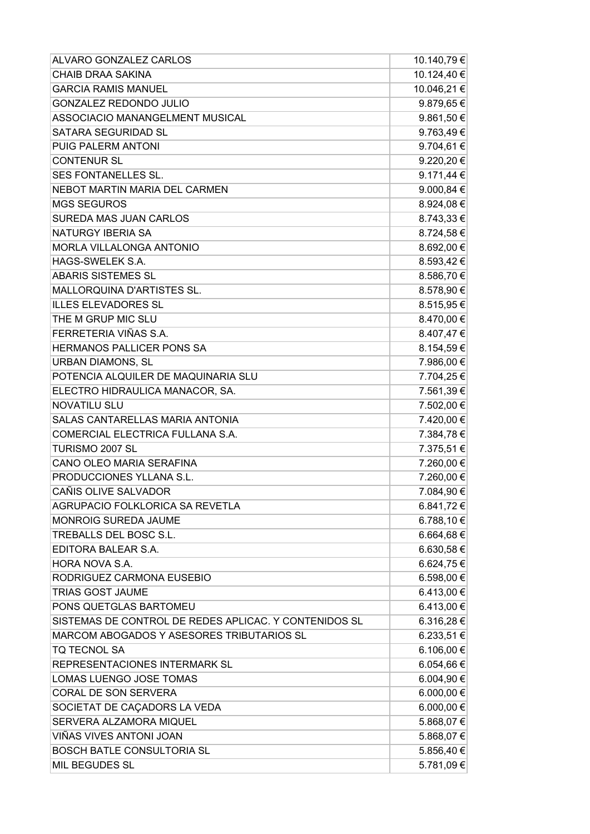| 10.124,40 €<br><b>CHAIB DRAA SAKINA</b><br><b>GARCIA RAMIS MANUEL</b><br>10.046,21 €<br><b>GONZALEZ REDONDO JULIO</b><br>9.879,65€<br>ASSOCIACIO MANANGELMENT MUSICAL<br>9.861,50 €<br>9.763,49€<br>SATARA SEGURIDAD SL<br>9.704,61€<br>PUIG PALERM ANTONI<br><b>CONTENUR SL</b><br>9.220,20€<br>SES FONTANELLES SL.<br>9.171,44 €<br>NEBOT MARTIN MARIA DEL CARMEN<br>9.000,84 €<br><b>MGS SEGUROS</b><br>8.924,08€<br>8.743,33 €<br>SUREDA MAS JUAN CARLOS<br>NATURGY IBERIA SA<br>8.724,58€<br>MORLA VILLALONGA ANTONIO<br>8.692,00 €<br><b>HAGS-SWELEK S.A.</b><br>8.593,42 €<br><b>ABARIS SISTEMES SL</b><br>8.586,70 €<br>8.578,90 €<br>MALLORQUINA D'ARTISTES SL.<br><b>ILLES ELEVADORES SL</b><br>8.515,95€<br>THE M GRUP MIC SLU<br>8.470,00 €<br>FERRETERIA VIÑAS S.A.<br>8.407,47€<br>HERMANOS PALLICER PONS SA<br>8.154,59€<br><b>URBAN DIAMONS, SL</b><br>7.986,00 €<br>POTENCIA ALQUILER DE MAQUINARIA SLU<br>7.704,25€<br>7.561,39€<br>ELECTRO HIDRAULICA MANACOR, SA. |
|---------------------------------------------------------------------------------------------------------------------------------------------------------------------------------------------------------------------------------------------------------------------------------------------------------------------------------------------------------------------------------------------------------------------------------------------------------------------------------------------------------------------------------------------------------------------------------------------------------------------------------------------------------------------------------------------------------------------------------------------------------------------------------------------------------------------------------------------------------------------------------------------------------------------------------------------------------------------------------------|
|                                                                                                                                                                                                                                                                                                                                                                                                                                                                                                                                                                                                                                                                                                                                                                                                                                                                                                                                                                                       |
|                                                                                                                                                                                                                                                                                                                                                                                                                                                                                                                                                                                                                                                                                                                                                                                                                                                                                                                                                                                       |
|                                                                                                                                                                                                                                                                                                                                                                                                                                                                                                                                                                                                                                                                                                                                                                                                                                                                                                                                                                                       |
|                                                                                                                                                                                                                                                                                                                                                                                                                                                                                                                                                                                                                                                                                                                                                                                                                                                                                                                                                                                       |
|                                                                                                                                                                                                                                                                                                                                                                                                                                                                                                                                                                                                                                                                                                                                                                                                                                                                                                                                                                                       |
|                                                                                                                                                                                                                                                                                                                                                                                                                                                                                                                                                                                                                                                                                                                                                                                                                                                                                                                                                                                       |
|                                                                                                                                                                                                                                                                                                                                                                                                                                                                                                                                                                                                                                                                                                                                                                                                                                                                                                                                                                                       |
|                                                                                                                                                                                                                                                                                                                                                                                                                                                                                                                                                                                                                                                                                                                                                                                                                                                                                                                                                                                       |
|                                                                                                                                                                                                                                                                                                                                                                                                                                                                                                                                                                                                                                                                                                                                                                                                                                                                                                                                                                                       |
|                                                                                                                                                                                                                                                                                                                                                                                                                                                                                                                                                                                                                                                                                                                                                                                                                                                                                                                                                                                       |
|                                                                                                                                                                                                                                                                                                                                                                                                                                                                                                                                                                                                                                                                                                                                                                                                                                                                                                                                                                                       |
|                                                                                                                                                                                                                                                                                                                                                                                                                                                                                                                                                                                                                                                                                                                                                                                                                                                                                                                                                                                       |
|                                                                                                                                                                                                                                                                                                                                                                                                                                                                                                                                                                                                                                                                                                                                                                                                                                                                                                                                                                                       |
|                                                                                                                                                                                                                                                                                                                                                                                                                                                                                                                                                                                                                                                                                                                                                                                                                                                                                                                                                                                       |
|                                                                                                                                                                                                                                                                                                                                                                                                                                                                                                                                                                                                                                                                                                                                                                                                                                                                                                                                                                                       |
|                                                                                                                                                                                                                                                                                                                                                                                                                                                                                                                                                                                                                                                                                                                                                                                                                                                                                                                                                                                       |
|                                                                                                                                                                                                                                                                                                                                                                                                                                                                                                                                                                                                                                                                                                                                                                                                                                                                                                                                                                                       |
|                                                                                                                                                                                                                                                                                                                                                                                                                                                                                                                                                                                                                                                                                                                                                                                                                                                                                                                                                                                       |
|                                                                                                                                                                                                                                                                                                                                                                                                                                                                                                                                                                                                                                                                                                                                                                                                                                                                                                                                                                                       |
|                                                                                                                                                                                                                                                                                                                                                                                                                                                                                                                                                                                                                                                                                                                                                                                                                                                                                                                                                                                       |
|                                                                                                                                                                                                                                                                                                                                                                                                                                                                                                                                                                                                                                                                                                                                                                                                                                                                                                                                                                                       |
|                                                                                                                                                                                                                                                                                                                                                                                                                                                                                                                                                                                                                                                                                                                                                                                                                                                                                                                                                                                       |
|                                                                                                                                                                                                                                                                                                                                                                                                                                                                                                                                                                                                                                                                                                                                                                                                                                                                                                                                                                                       |
| <b>NOVATILU SLU</b><br>7.502,00 €                                                                                                                                                                                                                                                                                                                                                                                                                                                                                                                                                                                                                                                                                                                                                                                                                                                                                                                                                     |
| SALAS CANTARELLAS MARIA ANTONIA<br>7.420,00 €                                                                                                                                                                                                                                                                                                                                                                                                                                                                                                                                                                                                                                                                                                                                                                                                                                                                                                                                         |
| COMERCIAL ELECTRICA FULLANA S.A.<br>7.384,78€                                                                                                                                                                                                                                                                                                                                                                                                                                                                                                                                                                                                                                                                                                                                                                                                                                                                                                                                         |
| TURISMO 2007 SL<br>7.375,51 €                                                                                                                                                                                                                                                                                                                                                                                                                                                                                                                                                                                                                                                                                                                                                                                                                                                                                                                                                         |
| CANO OLEO MARIA SERAFINA<br>7.260,00 €                                                                                                                                                                                                                                                                                                                                                                                                                                                                                                                                                                                                                                                                                                                                                                                                                                                                                                                                                |
| PRODUCCIONES YLLANA S.L.<br>7.260,00 €                                                                                                                                                                                                                                                                                                                                                                                                                                                                                                                                                                                                                                                                                                                                                                                                                                                                                                                                                |
| CAÑIS OLIVE SALVADOR<br>7.084,90 €                                                                                                                                                                                                                                                                                                                                                                                                                                                                                                                                                                                                                                                                                                                                                                                                                                                                                                                                                    |
| AGRUPACIO FOLKLORICA SA REVETLA<br>6.841,72 €                                                                                                                                                                                                                                                                                                                                                                                                                                                                                                                                                                                                                                                                                                                                                                                                                                                                                                                                         |
| MONROIG SUREDA JAUME<br>6.788,10 €                                                                                                                                                                                                                                                                                                                                                                                                                                                                                                                                                                                                                                                                                                                                                                                                                                                                                                                                                    |
| TREBALLS DEL BOSC S.L.<br>6.664,68€                                                                                                                                                                                                                                                                                                                                                                                                                                                                                                                                                                                                                                                                                                                                                                                                                                                                                                                                                   |
| EDITORA BALEAR S.A.<br>6.630,58€                                                                                                                                                                                                                                                                                                                                                                                                                                                                                                                                                                                                                                                                                                                                                                                                                                                                                                                                                      |
| HORA NOVA S.A.<br>6.624,75€                                                                                                                                                                                                                                                                                                                                                                                                                                                                                                                                                                                                                                                                                                                                                                                                                                                                                                                                                           |
| RODRIGUEZ CARMONA EUSEBIO<br>6.598,00 €                                                                                                                                                                                                                                                                                                                                                                                                                                                                                                                                                                                                                                                                                                                                                                                                                                                                                                                                               |
| TRIAS GOST JAUME<br>6.413,00 €                                                                                                                                                                                                                                                                                                                                                                                                                                                                                                                                                                                                                                                                                                                                                                                                                                                                                                                                                        |
| PONS QUETGLAS BARTOMEU<br>6.413,00 €                                                                                                                                                                                                                                                                                                                                                                                                                                                                                                                                                                                                                                                                                                                                                                                                                                                                                                                                                  |
| SISTEMAS DE CONTROL DE REDES APLICAC. Y CONTENIDOS SL<br>6.316,28€                                                                                                                                                                                                                                                                                                                                                                                                                                                                                                                                                                                                                                                                                                                                                                                                                                                                                                                    |
| MARCOM ABOGADOS Y ASESORES TRIBUTARIOS SL<br>6.233,51€                                                                                                                                                                                                                                                                                                                                                                                                                                                                                                                                                                                                                                                                                                                                                                                                                                                                                                                                |
| <b>TQ TECNOL SA</b><br>6.106,00 €                                                                                                                                                                                                                                                                                                                                                                                                                                                                                                                                                                                                                                                                                                                                                                                                                                                                                                                                                     |
| 6.054,66€<br>REPRESENTACIONES INTERMARK SL                                                                                                                                                                                                                                                                                                                                                                                                                                                                                                                                                                                                                                                                                                                                                                                                                                                                                                                                            |
| 6.004,90 €<br>LOMAS LUENGO JOSE TOMAS                                                                                                                                                                                                                                                                                                                                                                                                                                                                                                                                                                                                                                                                                                                                                                                                                                                                                                                                                 |
| CORAL DE SON SERVERA<br>6.000,00 €                                                                                                                                                                                                                                                                                                                                                                                                                                                                                                                                                                                                                                                                                                                                                                                                                                                                                                                                                    |
| 6.000,00 €<br>SOCIETAT DE CAÇADORS LA VEDA                                                                                                                                                                                                                                                                                                                                                                                                                                                                                                                                                                                                                                                                                                                                                                                                                                                                                                                                            |
| SERVERA ALZAMORA MIQUEL<br>5.868,07€                                                                                                                                                                                                                                                                                                                                                                                                                                                                                                                                                                                                                                                                                                                                                                                                                                                                                                                                                  |
| VIÑAS VIVES ANTONI JOAN<br>5.868,07 €                                                                                                                                                                                                                                                                                                                                                                                                                                                                                                                                                                                                                                                                                                                                                                                                                                                                                                                                                 |
| <b>BOSCH BATLE CONSULTORIA SL</b><br>5.856,40 €                                                                                                                                                                                                                                                                                                                                                                                                                                                                                                                                                                                                                                                                                                                                                                                                                                                                                                                                       |
| MIL BEGUDES SL<br>5.781,09€                                                                                                                                                                                                                                                                                                                                                                                                                                                                                                                                                                                                                                                                                                                                                                                                                                                                                                                                                           |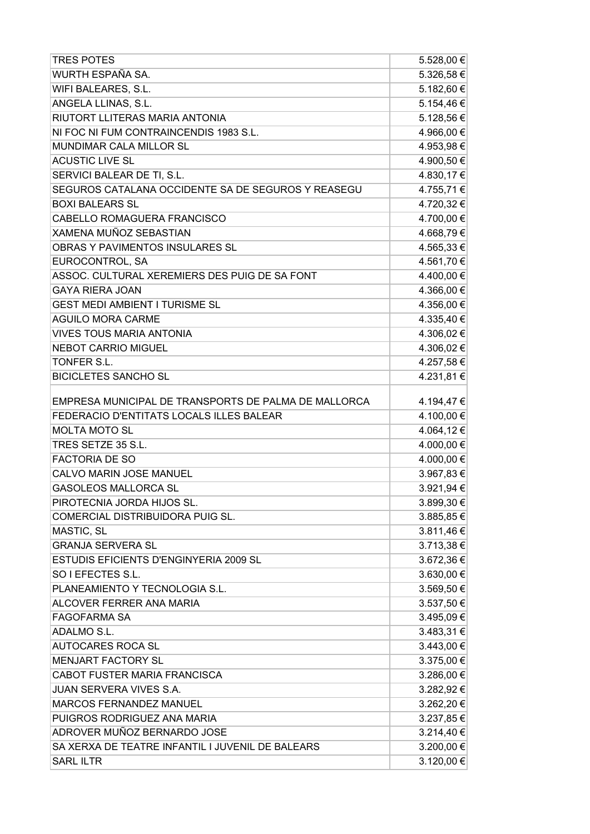| <b>TRES POTES</b>                                    | 5.528,00 € |
|------------------------------------------------------|------------|
| WURTH ESPAÑA SA.                                     | 5.326,58€  |
| WIFI BALEARES, S.L.                                  | 5.182,60 € |
| ANGELA LLINAS, S.L.                                  | 5.154,46€  |
| RIUTORT LLITERAS MARIA ANTONIA                       | 5.128,56 € |
| NI FOC NI FUM CONTRAINCENDIS 1983 S.L.               | 4.966,00 € |
| MUNDIMAR CALA MILLOR SL                              | 4.953,98€  |
| <b>ACUSTIC LIVE SL</b>                               | 4.900,50 € |
| SERVICI BALEAR DE TI, S.L.                           | 4.830,17€  |
| SEGUROS CATALANA OCCIDENTE SA DE SEGUROS Y REASEGU   | 4.755,71€  |
| <b>BOXI BALEARS SL</b>                               | 4.720,32 € |
| CABELLO ROMAGUERA FRANCISCO                          | 4.700,00 € |
| XAMENA MUÑOZ SEBASTIAN                               | 4.668,79€  |
| OBRAS Y PAVIMENTOS INSULARES SL                      | 4.565,33 € |
| EUROCONTROL, SA                                      | 4.561,70 € |
| ASSOC. CULTURAL XEREMIERS DES PUIG DE SA FONT        | 4.400,00 € |
| <b>GAYA RIERA JOAN</b>                               | 4.366,00 € |
| <b>GEST MEDI AMBIENT I TURISME SL</b>                | 4.356,00 € |
| <b>AGUILO MORA CARME</b>                             | 4.335,40 € |
| <b>VIVES TOUS MARIA ANTONIA</b>                      | 4.306,02€  |
| <b>NEBOT CARRIO MIGUEL</b>                           | 4.306,02€  |
| TONFER S.L.                                          | 4.257,58€  |
| <b>BICICLETES SANCHO SL</b>                          | 4.231,81€  |
| EMPRESA MUNICIPAL DE TRANSPORTS DE PALMA DE MALLORCA | 4.194,47€  |
| FEDERACIO D'ENTITATS LOCALS ILLES BALEAR             | 4.100,00 € |
| <b>MOLTA MOTO SL</b>                                 | 4.064,12€  |
| TRES SETZE 35 S.L.                                   | 4.000,00 € |
| <b>FACTORIA DE SO</b>                                | 4.000,00 € |
| CALVO MARIN JOSE MANUEL                              | 3.967,83 € |
| <b>GASOLEOS MALLORCA SL</b>                          | 3.921,94 € |
| PIROTECNIA JORDA HIJOS SL.                           | 3.899,30 € |
| COMERCIAL DISTRIBUIDORA PUIG SL.                     | 3.885,85€  |
| MASTIC, SL                                           | 3.811,46€  |
| <b>GRANJA SERVERA SL</b>                             | 3.713,38 € |
| ESTUDIS EFICIENTS D'ENGINYERIA 2009 SL               | 3.672,36 € |
| SO I EFECTES S.L.                                    | 3.630,00 € |
| PLANEAMIENTO Y TECNOLOGIA S.L.                       | 3.569,50 € |
| ALCOVER FERRER ANA MARIA                             | 3.537,50 € |
| <b>FAGOFARMA SA</b>                                  | 3.495,09€  |
| ADALMO S.L.                                          | 3.483,31 € |
| <b>AUTOCARES ROCA SL</b>                             | 3.443,00 € |
| <b>MENJART FACTORY SL</b>                            | 3.375,00 € |
| CABOT FUSTER MARIA FRANCISCA                         | 3.286,00 € |
| JUAN SERVERA VIVES S.A.                              | 3.282,92 € |
| MARCOS FERNANDEZ MANUEL                              | 3.262,20 € |
| PUIGROS RODRIGUEZ ANA MARIA                          | 3.237,85 € |
| ADROVER MUÑOZ BERNARDO JOSE                          | 3.214,40 € |
| SA XERXA DE TEATRE INFANTIL I JUVENIL DE BALEARS     | 3.200,00 € |
| <b>SARL ILTR</b>                                     | 3.120,00 € |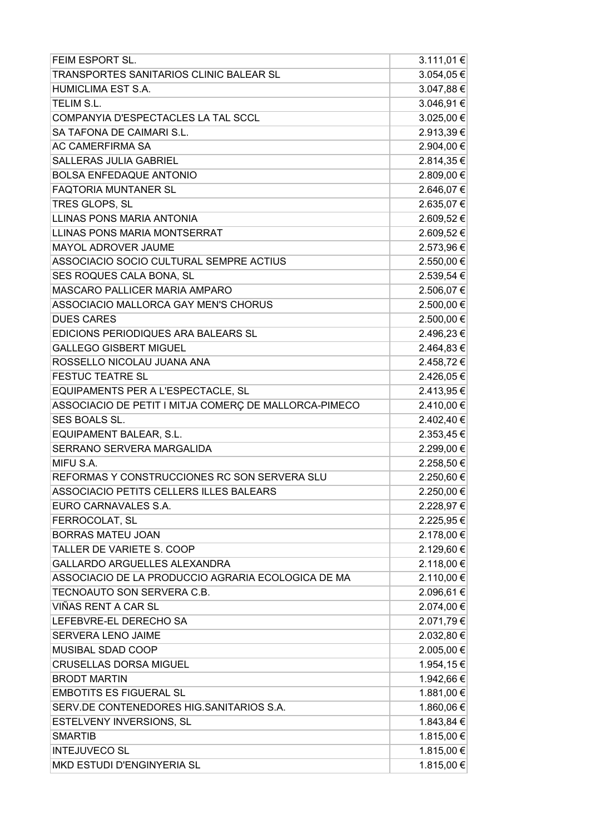| FEIM ESPORT SL.                                       | 3.111,01 € |
|-------------------------------------------------------|------------|
| TRANSPORTES SANITARIOS CLINIC BALEAR SL               | 3.054,05 € |
| HUMICLIMA EST S.A.                                    | 3.047,88 € |
| TELIM S.L.                                            | 3.046,91€  |
| COMPANYIA D'ESPECTACLES LA TAL SCCL                   | 3.025,00 € |
| SA TAFONA DE CAIMARI S.L.                             | 2.913,39€  |
| AC CAMERFIRMA SA                                      | 2.904,00 € |
| <b>SALLERAS JULIA GABRIEL</b>                         | 2.814,35 € |
| <b>BOLSA ENFEDAQUE ANTONIO</b>                        | 2.809,00 € |
| <b>FAQTORIA MUNTANER SL</b>                           | 2.646,07€  |
| TRES GLOPS, SL                                        | 2.635,07€  |
| LLINAS PONS MARIA ANTONIA                             | 2.609,52€  |
| LLINAS PONS MARIA MONTSERRAT                          | 2.609,52€  |
| MAYOL ADROVER JAUME                                   | 2.573,96 € |
| ASSOCIACIO SOCIO CULTURAL SEMPRE ACTIUS               | 2.550,00 € |
| SES ROQUES CALA BONA, SL                              | 2.539,54 € |
| MASCARO PALLICER MARIA AMPARO                         | 2.506,07€  |
| ASSOCIACIO MALLORCA GAY MEN'S CHORUS                  | 2.500,00 € |
| <b>DUES CARES</b>                                     | 2.500,00 € |
| EDICIONS PERIODIQUES ARA BALEARS SL                   | 2.496,23€  |
| <b>GALLEGO GISBERT MIGUEL</b>                         | 2.464,83 € |
| ROSSELLO NICOLAU JUANA ANA                            | 2.458,72€  |
| <b>FESTUC TEATRE SL</b>                               | 2.426,05€  |
| EQUIPAMENTS PER A L'ESPECTACLE, SL                    | 2.413,95€  |
| ASSOCIACIO DE PETIT I MITJA COMERÇ DE MALLORCA-PIMECO | 2.410,00 € |
| SES BOALS SL.                                         | 2.402,40 € |
| EQUIPAMENT BALEAR, S.L.                               | 2.353,45 € |
| SERRANO SERVERA MARGALIDA                             | 2.299,00 € |
| MIFU S.A.                                             | 2.258,50 € |
| REFORMAS Y CONSTRUCCIONES RC SON SERVERA SLU          | 2.250,60 € |
| ASSOCIACIO PETITS CELLERS ILLES BALEARS               | 2.250,00 € |
| EURO CARNAVALES S.A.                                  | 2.228,97 € |
| FERROCOLAT, SL                                        | 2.225,95 € |
| <b>BORRAS MATEU JOAN</b>                              | 2.178,00 € |
| TALLER DE VARIETE S. COOP                             | 2.129,60 € |
| GALLARDO ARGUELLES ALEXANDRA                          | 2.118,00 € |
| ASSOCIACIO DE LA PRODUCCIO AGRARIA ECOLOGICA DE MA    | 2.110,00 € |
| TECNOAUTO SON SERVERA C.B.                            | 2.096,61€  |
| VIÑAS RENT A CAR SL                                   | 2.074,00 € |
| LEFEBVRE-EL DERECHO SA                                | 2.071,79€  |
| SERVERA LENO JAIME                                    | 2.032,80 € |
| MUSIBAL SDAD COOP                                     | 2.005,00 € |
| <b>CRUSELLAS DORSA MIGUEL</b>                         | 1.954,15€  |
| <b>BRODT MARTIN</b>                                   | 1.942,66 € |
| <b>EMBOTITS ES FIGUERAL SL</b>                        | 1.881,00 € |
| SERV.DE CONTENEDORES HIG.SANITARIOS S.A.              | 1.860,06 € |
| ESTELVENY INVERSIONS, SL                              | 1.843,84 € |
| <b>SMARTIB</b>                                        | 1.815,00 € |
| <b>INTEJUVECO SL</b>                                  | 1.815,00 € |
| MKD ESTUDI D'ENGINYERIA SL                            | 1.815,00 € |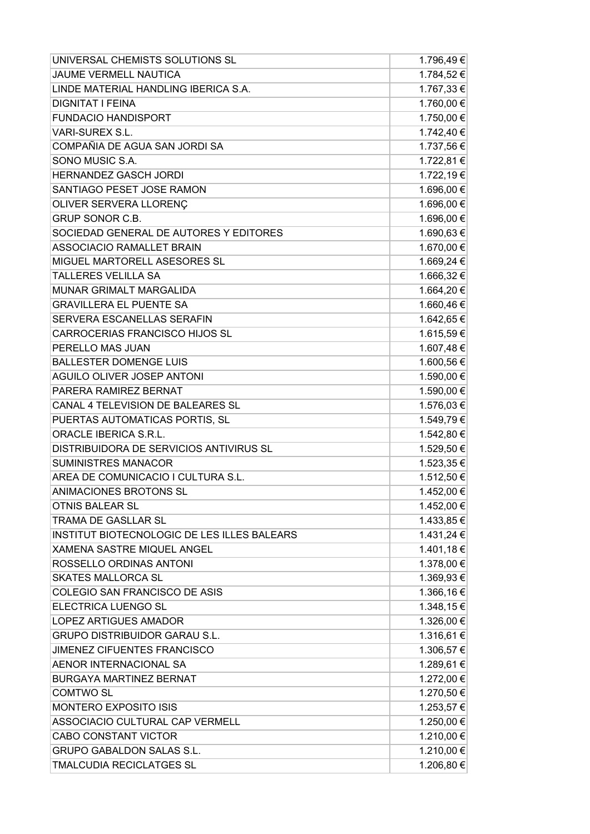| UNIVERSAL CHEMISTS SOLUTIONS SL             | 1.796,49€  |
|---------------------------------------------|------------|
| <b>JAUME VERMELL NAUTICA</b>                | 1.784,52€  |
| LINDE MATERIAL HANDLING IBERICA S.A.        | 1.767,33 € |
| <b>DIGNITAT I FEINA</b>                     | 1.760,00 € |
| <b>FUNDACIO HANDISPORT</b>                  | 1.750,00 € |
| VARI-SUREX S.L.                             | 1.742,40 € |
| COMPAÑIA DE AGUA SAN JORDI SA               | 1.737,56 € |
| SONO MUSIC S.A.                             | 1.722,81 € |
| <b>HERNANDEZ GASCH JORDI</b>                | 1.722,19€  |
| SANTIAGO PESET JOSE RAMON                   | 1.696,00 € |
| OLIVER SERVERA LLORENÇ                      | 1.696,00 € |
| <b>GRUP SONOR C.B.</b>                      | 1.696,00 € |
| SOCIEDAD GENERAL DE AUTORES Y EDITORES      | 1.690,63€  |
| <b>ASSOCIACIO RAMALLET BRAIN</b>            | 1.670,00 € |
| MIGUEL MARTORELL ASESORES SL                | 1.669,24 € |
| <b>TALLERES VELILLA SA</b>                  | 1.666,32€  |
| MUNAR GRIMALT MARGALIDA                     | 1.664,20€  |
| <b>GRAVILLERA EL PUENTE SA</b>              | 1.660,46€  |
| SERVERA ESCANELLAS SERAFIN                  | 1.642,65€  |
| CARROCERIAS FRANCISCO HIJOS SL              | 1.615,59€  |
| PERELLO MAS JUAN                            | 1.607,48€  |
| <b>BALLESTER DOMENGE LUIS</b>               | 1.600,56 € |
| AGUILO OLIVER JOSEP ANTONI                  | 1.590,00 € |
| PARERA RAMIREZ BERNAT                       | 1.590,00 € |
| CANAL 4 TELEVISION DE BALEARES SL           | 1.576,03€  |
| PUERTAS AUTOMATICAS PORTIS, SL              | 1.549,79€  |
| ORACLE IBERICA S.R.L.                       | 1.542,80 € |
| DISTRIBUIDORA DE SERVICIOS ANTIVIRUS SL     | 1.529,50 € |
| <b>SUMINISTRES MANACOR</b>                  | 1.523,35 € |
| AREA DE COMUNICACIO I CULTURA S.L.          | 1.512,50 € |
| ANIMACIONES BROTONS SL                      | 1.452,00 € |
| <b>OTNIS BALEAR SL</b>                      | 1.452,00 € |
| TRAMA DE GASLLAR SL                         | 1.433,85 € |
| INSTITUT BIOTECNOLOGIC DE LES ILLES BALEARS | 1.431,24 € |
| XAMENA SASTRE MIQUEL ANGEL                  | 1.401,18€  |
| ROSSELLO ORDINAS ANTONI                     | 1.378,00 € |
| <b>SKATES MALLORCA SL</b>                   | 1.369,93€  |
| COLEGIO SAN FRANCISCO DE ASIS               | 1.366,16€  |
| ELECTRICA LUENGO SL                         | 1.348,15€  |
| LOPEZ ARTIGUES AMADOR                       | 1.326,00 € |
| <b>GRUPO DISTRIBUIDOR GARAU S.L.</b>        | 1.316,61 € |
| JIMENEZ CIFUENTES FRANCISCO                 | 1.306,57 € |
| AENOR INTERNACIONAL SA                      | 1.289,61€  |
| <b>BURGAYA MARTINEZ BERNAT</b>              | 1.272,00 € |
| <b>COMTWO SL</b>                            | 1.270,50 € |
| <b>MONTERO EXPOSITO ISIS</b>                | 1.253,57 € |
| ASSOCIACIO CULTURAL CAP VERMELL             | 1.250,00 € |
| <b>CABO CONSTANT VICTOR</b>                 | 1.210,00 € |
| <b>GRUPO GABALDON SALAS S.L.</b>            | 1.210,00 € |
| TMALCUDIA RECICLATGES SL                    | 1.206,80 € |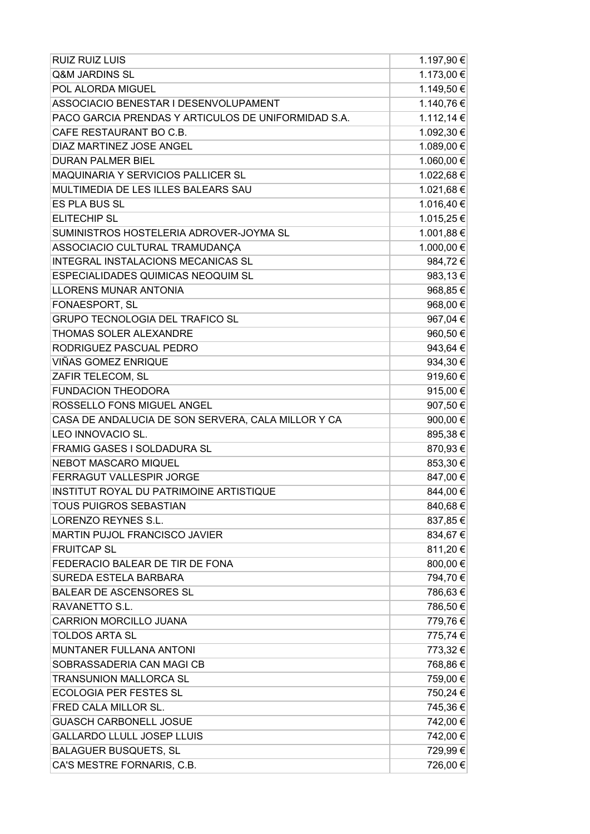| <b>RUIZ RUIZ LUIS</b>                               | 1.197,90 € |
|-----------------------------------------------------|------------|
| <b>Q&amp;M JARDINS SL</b>                           | 1.173,00 € |
| POL ALORDA MIGUEL                                   | 1.149,50 € |
| ASSOCIACIO BENESTAR I DESENVOLUPAMENT               | 1.140,76 € |
| PACO GARCIA PRENDAS Y ARTICULOS DE UNIFORMIDAD S.A. | 1.112,14 € |
| CAFE RESTAURANT BO C.B.                             | 1.092,30 € |
| DIAZ MARTINEZ JOSE ANGEL                            | 1.089,00 € |
| <b>DURAN PALMER BIEL</b>                            | 1.060,00 € |
| MAQUINARIA Y SERVICIOS PALLICER SL                  | 1.022,68€  |
| MULTIMEDIA DE LES ILLES BALEARS SAU                 | 1.021,68€  |
| <b>ES PLA BUS SL</b>                                | 1.016,40 € |
| <b>ELITECHIP SL</b>                                 | 1.015,25€  |
| SUMINISTROS HOSTELERIA ADROVER-JOYMA SL             | 1.001,88€  |
| ASSOCIACIO CULTURAL TRAMUDANÇA                      | 1.000,00 € |
| <b>INTEGRAL INSTALACIONS MECANICAS SL</b>           | 984,72€    |
| ESPECIALIDADES QUIMICAS NEOQUIM SL                  | 983,13€    |
| <b>LLORENS MUNAR ANTONIA</b>                        | 968,85€    |
| FONAESPORT, SL                                      | 968,00€    |
| <b>GRUPO TECNOLOGIA DEL TRAFICO SL</b>              | 967,04 €   |
| THOMAS SOLER ALEXANDRE                              | 960,50€    |
| RODRIGUEZ PASCUAL PEDRO                             | 943,64 €   |
| VIÑAS GOMEZ ENRIQUE                                 | 934,30€    |
| ZAFIR TELECOM, SL                                   | 919,60€    |
| <b>FUNDACION THEODORA</b>                           | 915,00€    |
| ROSSELLO FONS MIGUEL ANGEL                          | 907,50€    |
| CASA DE ANDALUCIA DE SON SERVERA, CALA MILLOR Y CA  | 900,00€    |
| LEO INNOVACIO SL.                                   | 895,38€    |
| FRAMIG GASES I SOLDADURA SL                         | 870,93€    |
| <b>NEBOT MASCARO MIQUEL</b>                         | 853,30€    |
| FERRAGUT VALLESPIR JORGE                            | 847,00€    |
| INSTITUT ROYAL DU PATRIMOINE ARTISTIQUE             | 844,00€    |
| <b>TOUS PUIGROS SEBASTIAN</b>                       | 840,68€    |
| LORENZO REYNES S.L.                                 | 837,85€    |
| <b>MARTIN PUJOL FRANCISCO JAVIER</b>                | 834,67€    |
| <b>FRUITCAP SL</b>                                  | 811,20€    |
| FEDERACIO BALEAR DE TIR DE FONA                     | 800,00 €   |
| SUREDA ESTELA BARBARA                               | 794,70€    |
| <b>BALEAR DE ASCENSORES SL</b>                      | 786,63€    |
| RAVANETTO S.L.                                      | 786,50€    |
| <b>CARRION MORCILLO JUANA</b>                       | 779,76€    |
| <b>TOLDOS ARTA SL</b>                               | 775,74 €   |
| MUNTANER FULLANA ANTONI                             | 773,32€    |
| SOBRASSADERIA CAN MAGI CB                           | 768,86€    |
| <b>TRANSUNION MALLORCA SL</b>                       | 759,00€    |
| <b>ECOLOGIA PER FESTES SL</b>                       | 750,24 €   |
| FRED CALA MILLOR SL.                                | 745,36€    |
| <b>GUASCH CARBONELL JOSUE</b>                       | 742,00 €   |
| <b>GALLARDO LLULL JOSEP LLUIS</b>                   | 742,00 €   |
| <b>BALAGUER BUSQUETS, SL</b>                        | 729,99€    |
| CA'S MESTRE FORNARIS, C.B.                          | 726,00 €   |
|                                                     |            |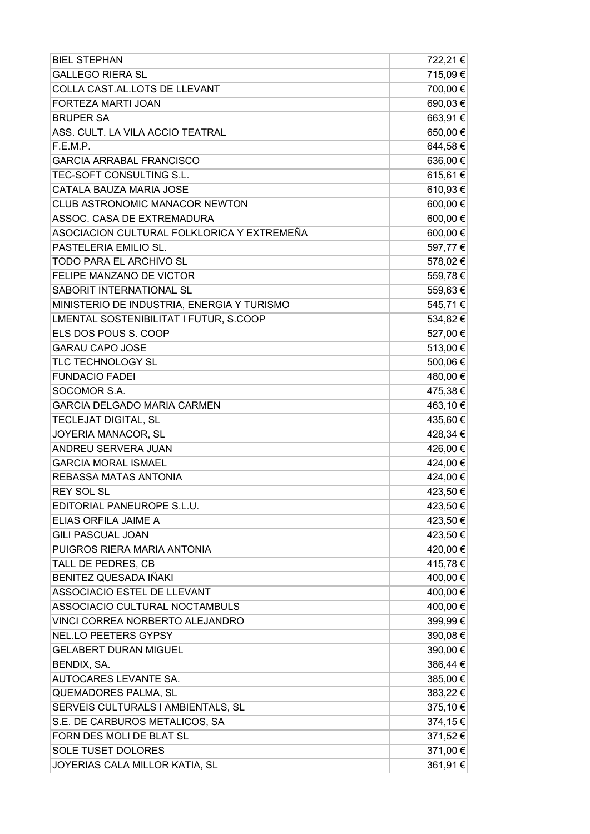| <b>GALLEGO RIERA SL</b><br>715,09€<br>700,00€<br>COLLA CAST.AL.LOTS DE LLEVANT<br>690,03€<br>FORTEZA MARTI JOAN<br><b>BRUPER SA</b><br>663,91€<br>ASS. CULT. LA VILA ACCIO TEATRAL<br>650,00€<br>644,58€<br>F.E.M.P.<br>636,00€<br><b>GARCIA ARRABAL FRANCISCO</b><br>TEC-SOFT CONSULTING S.L.<br>615,61€<br>CATALA BAUZA MARIA JOSE<br>610,93€<br>600,00€<br>CLUB ASTRONOMIC MANACOR NEWTON<br>ASSOC. CASA DE EXTREMADURA<br>600,00€<br>600,00€<br>ASOCIACION CULTURAL FOLKLORICA Y EXTREMEÑA<br>597,77€<br>PASTELERIA EMILIO SL.<br>TODO PARA EL ARCHIVO SL<br>578,02€<br><b>FELIPE MANZANO DE VICTOR</b><br>559,78€<br>SABORIT INTERNATIONAL SL<br>559,63€<br>MINISTERIO DE INDUSTRIA, ENERGIA Y TURISMO<br>545,71€<br>LMENTAL SOSTENIBILITAT I FUTUR, S.COOP<br>534,82€<br>ELS DOS POUS S. COOP<br>527,00 €<br><b>GARAU CAPO JOSE</b><br>513,00€<br>TLC TECHNOLOGY SL<br>500,06€<br><b>FUNDACIO FADEI</b><br>480,00€<br>475,38€<br>SOCOMOR S.A.<br><b>GARCIA DELGADO MARIA CARMEN</b><br>463,10€<br>435,60€<br>TECLEJAT DIGITAL, SL<br>JOYERIA MANACOR, SL<br>428,34 €<br>ANDREU SERVERA JUAN<br>426,00€<br>424,00€<br><b>GARCIA MORAL ISMAEL</b><br>424,00 €<br>REBASSA MATAS ANTONIA<br>423,50€<br><b>REY SOL SL</b><br>EDITORIAL PANEUROPE S.L.U.<br>423,50 €<br>ELIAS ORFILA JAIME A<br>423,50€<br><b>GILI PASCUAL JOAN</b><br>423,50€<br>PUIGROS RIERA MARIA ANTONIA<br>420,00€<br>TALL DE PEDRES, CB<br>415,78€<br>BENITEZ QUESADA IÑAKI<br>400,00€<br>ASSOCIACIO ESTEL DE LLEVANT<br>400,00 €<br>ASSOCIACIO CULTURAL NOCTAMBULS<br>400,00€<br>VINCI CORREA NORBERTO ALEJANDRO<br>399,99€<br>NEL.LO PEETERS GYPSY<br>390,08€<br>390,00€<br><b>GELABERT DURAN MIGUEL</b><br>386,44 €<br>BENDIX, SA.<br>AUTOCARES LEVANTE SA.<br>385,00€<br>QUEMADORES PALMA, SL<br>383,22 €<br>SERVEIS CULTURALS I AMBIENTALS, SL<br>375,10 €<br>S.E. DE CARBUROS METALICOS, SA<br>374,15€<br>FORN DES MOLI DE BLAT SL<br>371,52€<br><b>SOLE TUSET DOLORES</b><br>371,00 €<br>JOYERIAS CALA MILLOR KATIA, SL<br>361,91 € | <b>BIEL STEPHAN</b> | 722,21€ |
|-------------------------------------------------------------------------------------------------------------------------------------------------------------------------------------------------------------------------------------------------------------------------------------------------------------------------------------------------------------------------------------------------------------------------------------------------------------------------------------------------------------------------------------------------------------------------------------------------------------------------------------------------------------------------------------------------------------------------------------------------------------------------------------------------------------------------------------------------------------------------------------------------------------------------------------------------------------------------------------------------------------------------------------------------------------------------------------------------------------------------------------------------------------------------------------------------------------------------------------------------------------------------------------------------------------------------------------------------------------------------------------------------------------------------------------------------------------------------------------------------------------------------------------------------------------------------------------------------------------------------------------------------------------------------------------------------------------------------------------------------------------------------------------------------------------------------------------------------------------------------------------------------------------------------------------------------------------------------------------------------------------------|---------------------|---------|
|                                                                                                                                                                                                                                                                                                                                                                                                                                                                                                                                                                                                                                                                                                                                                                                                                                                                                                                                                                                                                                                                                                                                                                                                                                                                                                                                                                                                                                                                                                                                                                                                                                                                                                                                                                                                                                                                                                                                                                                                                   |                     |         |
|                                                                                                                                                                                                                                                                                                                                                                                                                                                                                                                                                                                                                                                                                                                                                                                                                                                                                                                                                                                                                                                                                                                                                                                                                                                                                                                                                                                                                                                                                                                                                                                                                                                                                                                                                                                                                                                                                                                                                                                                                   |                     |         |
|                                                                                                                                                                                                                                                                                                                                                                                                                                                                                                                                                                                                                                                                                                                                                                                                                                                                                                                                                                                                                                                                                                                                                                                                                                                                                                                                                                                                                                                                                                                                                                                                                                                                                                                                                                                                                                                                                                                                                                                                                   |                     |         |
|                                                                                                                                                                                                                                                                                                                                                                                                                                                                                                                                                                                                                                                                                                                                                                                                                                                                                                                                                                                                                                                                                                                                                                                                                                                                                                                                                                                                                                                                                                                                                                                                                                                                                                                                                                                                                                                                                                                                                                                                                   |                     |         |
|                                                                                                                                                                                                                                                                                                                                                                                                                                                                                                                                                                                                                                                                                                                                                                                                                                                                                                                                                                                                                                                                                                                                                                                                                                                                                                                                                                                                                                                                                                                                                                                                                                                                                                                                                                                                                                                                                                                                                                                                                   |                     |         |
|                                                                                                                                                                                                                                                                                                                                                                                                                                                                                                                                                                                                                                                                                                                                                                                                                                                                                                                                                                                                                                                                                                                                                                                                                                                                                                                                                                                                                                                                                                                                                                                                                                                                                                                                                                                                                                                                                                                                                                                                                   |                     |         |
|                                                                                                                                                                                                                                                                                                                                                                                                                                                                                                                                                                                                                                                                                                                                                                                                                                                                                                                                                                                                                                                                                                                                                                                                                                                                                                                                                                                                                                                                                                                                                                                                                                                                                                                                                                                                                                                                                                                                                                                                                   |                     |         |
|                                                                                                                                                                                                                                                                                                                                                                                                                                                                                                                                                                                                                                                                                                                                                                                                                                                                                                                                                                                                                                                                                                                                                                                                                                                                                                                                                                                                                                                                                                                                                                                                                                                                                                                                                                                                                                                                                                                                                                                                                   |                     |         |
|                                                                                                                                                                                                                                                                                                                                                                                                                                                                                                                                                                                                                                                                                                                                                                                                                                                                                                                                                                                                                                                                                                                                                                                                                                                                                                                                                                                                                                                                                                                                                                                                                                                                                                                                                                                                                                                                                                                                                                                                                   |                     |         |
|                                                                                                                                                                                                                                                                                                                                                                                                                                                                                                                                                                                                                                                                                                                                                                                                                                                                                                                                                                                                                                                                                                                                                                                                                                                                                                                                                                                                                                                                                                                                                                                                                                                                                                                                                                                                                                                                                                                                                                                                                   |                     |         |
|                                                                                                                                                                                                                                                                                                                                                                                                                                                                                                                                                                                                                                                                                                                                                                                                                                                                                                                                                                                                                                                                                                                                                                                                                                                                                                                                                                                                                                                                                                                                                                                                                                                                                                                                                                                                                                                                                                                                                                                                                   |                     |         |
|                                                                                                                                                                                                                                                                                                                                                                                                                                                                                                                                                                                                                                                                                                                                                                                                                                                                                                                                                                                                                                                                                                                                                                                                                                                                                                                                                                                                                                                                                                                                                                                                                                                                                                                                                                                                                                                                                                                                                                                                                   |                     |         |
|                                                                                                                                                                                                                                                                                                                                                                                                                                                                                                                                                                                                                                                                                                                                                                                                                                                                                                                                                                                                                                                                                                                                                                                                                                                                                                                                                                                                                                                                                                                                                                                                                                                                                                                                                                                                                                                                                                                                                                                                                   |                     |         |
|                                                                                                                                                                                                                                                                                                                                                                                                                                                                                                                                                                                                                                                                                                                                                                                                                                                                                                                                                                                                                                                                                                                                                                                                                                                                                                                                                                                                                                                                                                                                                                                                                                                                                                                                                                                                                                                                                                                                                                                                                   |                     |         |
|                                                                                                                                                                                                                                                                                                                                                                                                                                                                                                                                                                                                                                                                                                                                                                                                                                                                                                                                                                                                                                                                                                                                                                                                                                                                                                                                                                                                                                                                                                                                                                                                                                                                                                                                                                                                                                                                                                                                                                                                                   |                     |         |
|                                                                                                                                                                                                                                                                                                                                                                                                                                                                                                                                                                                                                                                                                                                                                                                                                                                                                                                                                                                                                                                                                                                                                                                                                                                                                                                                                                                                                                                                                                                                                                                                                                                                                                                                                                                                                                                                                                                                                                                                                   |                     |         |
|                                                                                                                                                                                                                                                                                                                                                                                                                                                                                                                                                                                                                                                                                                                                                                                                                                                                                                                                                                                                                                                                                                                                                                                                                                                                                                                                                                                                                                                                                                                                                                                                                                                                                                                                                                                                                                                                                                                                                                                                                   |                     |         |
|                                                                                                                                                                                                                                                                                                                                                                                                                                                                                                                                                                                                                                                                                                                                                                                                                                                                                                                                                                                                                                                                                                                                                                                                                                                                                                                                                                                                                                                                                                                                                                                                                                                                                                                                                                                                                                                                                                                                                                                                                   |                     |         |
|                                                                                                                                                                                                                                                                                                                                                                                                                                                                                                                                                                                                                                                                                                                                                                                                                                                                                                                                                                                                                                                                                                                                                                                                                                                                                                                                                                                                                                                                                                                                                                                                                                                                                                                                                                                                                                                                                                                                                                                                                   |                     |         |
|                                                                                                                                                                                                                                                                                                                                                                                                                                                                                                                                                                                                                                                                                                                                                                                                                                                                                                                                                                                                                                                                                                                                                                                                                                                                                                                                                                                                                                                                                                                                                                                                                                                                                                                                                                                                                                                                                                                                                                                                                   |                     |         |
|                                                                                                                                                                                                                                                                                                                                                                                                                                                                                                                                                                                                                                                                                                                                                                                                                                                                                                                                                                                                                                                                                                                                                                                                                                                                                                                                                                                                                                                                                                                                                                                                                                                                                                                                                                                                                                                                                                                                                                                                                   |                     |         |
|                                                                                                                                                                                                                                                                                                                                                                                                                                                                                                                                                                                                                                                                                                                                                                                                                                                                                                                                                                                                                                                                                                                                                                                                                                                                                                                                                                                                                                                                                                                                                                                                                                                                                                                                                                                                                                                                                                                                                                                                                   |                     |         |
|                                                                                                                                                                                                                                                                                                                                                                                                                                                                                                                                                                                                                                                                                                                                                                                                                                                                                                                                                                                                                                                                                                                                                                                                                                                                                                                                                                                                                                                                                                                                                                                                                                                                                                                                                                                                                                                                                                                                                                                                                   |                     |         |
|                                                                                                                                                                                                                                                                                                                                                                                                                                                                                                                                                                                                                                                                                                                                                                                                                                                                                                                                                                                                                                                                                                                                                                                                                                                                                                                                                                                                                                                                                                                                                                                                                                                                                                                                                                                                                                                                                                                                                                                                                   |                     |         |
|                                                                                                                                                                                                                                                                                                                                                                                                                                                                                                                                                                                                                                                                                                                                                                                                                                                                                                                                                                                                                                                                                                                                                                                                                                                                                                                                                                                                                                                                                                                                                                                                                                                                                                                                                                                                                                                                                                                                                                                                                   |                     |         |
|                                                                                                                                                                                                                                                                                                                                                                                                                                                                                                                                                                                                                                                                                                                                                                                                                                                                                                                                                                                                                                                                                                                                                                                                                                                                                                                                                                                                                                                                                                                                                                                                                                                                                                                                                                                                                                                                                                                                                                                                                   |                     |         |
|                                                                                                                                                                                                                                                                                                                                                                                                                                                                                                                                                                                                                                                                                                                                                                                                                                                                                                                                                                                                                                                                                                                                                                                                                                                                                                                                                                                                                                                                                                                                                                                                                                                                                                                                                                                                                                                                                                                                                                                                                   |                     |         |
|                                                                                                                                                                                                                                                                                                                                                                                                                                                                                                                                                                                                                                                                                                                                                                                                                                                                                                                                                                                                                                                                                                                                                                                                                                                                                                                                                                                                                                                                                                                                                                                                                                                                                                                                                                                                                                                                                                                                                                                                                   |                     |         |
|                                                                                                                                                                                                                                                                                                                                                                                                                                                                                                                                                                                                                                                                                                                                                                                                                                                                                                                                                                                                                                                                                                                                                                                                                                                                                                                                                                                                                                                                                                                                                                                                                                                                                                                                                                                                                                                                                                                                                                                                                   |                     |         |
|                                                                                                                                                                                                                                                                                                                                                                                                                                                                                                                                                                                                                                                                                                                                                                                                                                                                                                                                                                                                                                                                                                                                                                                                                                                                                                                                                                                                                                                                                                                                                                                                                                                                                                                                                                                                                                                                                                                                                                                                                   |                     |         |
|                                                                                                                                                                                                                                                                                                                                                                                                                                                                                                                                                                                                                                                                                                                                                                                                                                                                                                                                                                                                                                                                                                                                                                                                                                                                                                                                                                                                                                                                                                                                                                                                                                                                                                                                                                                                                                                                                                                                                                                                                   |                     |         |
|                                                                                                                                                                                                                                                                                                                                                                                                                                                                                                                                                                                                                                                                                                                                                                                                                                                                                                                                                                                                                                                                                                                                                                                                                                                                                                                                                                                                                                                                                                                                                                                                                                                                                                                                                                                                                                                                                                                                                                                                                   |                     |         |
|                                                                                                                                                                                                                                                                                                                                                                                                                                                                                                                                                                                                                                                                                                                                                                                                                                                                                                                                                                                                                                                                                                                                                                                                                                                                                                                                                                                                                                                                                                                                                                                                                                                                                                                                                                                                                                                                                                                                                                                                                   |                     |         |
|                                                                                                                                                                                                                                                                                                                                                                                                                                                                                                                                                                                                                                                                                                                                                                                                                                                                                                                                                                                                                                                                                                                                                                                                                                                                                                                                                                                                                                                                                                                                                                                                                                                                                                                                                                                                                                                                                                                                                                                                                   |                     |         |
|                                                                                                                                                                                                                                                                                                                                                                                                                                                                                                                                                                                                                                                                                                                                                                                                                                                                                                                                                                                                                                                                                                                                                                                                                                                                                                                                                                                                                                                                                                                                                                                                                                                                                                                                                                                                                                                                                                                                                                                                                   |                     |         |
|                                                                                                                                                                                                                                                                                                                                                                                                                                                                                                                                                                                                                                                                                                                                                                                                                                                                                                                                                                                                                                                                                                                                                                                                                                                                                                                                                                                                                                                                                                                                                                                                                                                                                                                                                                                                                                                                                                                                                                                                                   |                     |         |
|                                                                                                                                                                                                                                                                                                                                                                                                                                                                                                                                                                                                                                                                                                                                                                                                                                                                                                                                                                                                                                                                                                                                                                                                                                                                                                                                                                                                                                                                                                                                                                                                                                                                                                                                                                                                                                                                                                                                                                                                                   |                     |         |
|                                                                                                                                                                                                                                                                                                                                                                                                                                                                                                                                                                                                                                                                                                                                                                                                                                                                                                                                                                                                                                                                                                                                                                                                                                                                                                                                                                                                                                                                                                                                                                                                                                                                                                                                                                                                                                                                                                                                                                                                                   |                     |         |
|                                                                                                                                                                                                                                                                                                                                                                                                                                                                                                                                                                                                                                                                                                                                                                                                                                                                                                                                                                                                                                                                                                                                                                                                                                                                                                                                                                                                                                                                                                                                                                                                                                                                                                                                                                                                                                                                                                                                                                                                                   |                     |         |
|                                                                                                                                                                                                                                                                                                                                                                                                                                                                                                                                                                                                                                                                                                                                                                                                                                                                                                                                                                                                                                                                                                                                                                                                                                                                                                                                                                                                                                                                                                                                                                                                                                                                                                                                                                                                                                                                                                                                                                                                                   |                     |         |
|                                                                                                                                                                                                                                                                                                                                                                                                                                                                                                                                                                                                                                                                                                                                                                                                                                                                                                                                                                                                                                                                                                                                                                                                                                                                                                                                                                                                                                                                                                                                                                                                                                                                                                                                                                                                                                                                                                                                                                                                                   |                     |         |
|                                                                                                                                                                                                                                                                                                                                                                                                                                                                                                                                                                                                                                                                                                                                                                                                                                                                                                                                                                                                                                                                                                                                                                                                                                                                                                                                                                                                                                                                                                                                                                                                                                                                                                                                                                                                                                                                                                                                                                                                                   |                     |         |
|                                                                                                                                                                                                                                                                                                                                                                                                                                                                                                                                                                                                                                                                                                                                                                                                                                                                                                                                                                                                                                                                                                                                                                                                                                                                                                                                                                                                                                                                                                                                                                                                                                                                                                                                                                                                                                                                                                                                                                                                                   |                     |         |
|                                                                                                                                                                                                                                                                                                                                                                                                                                                                                                                                                                                                                                                                                                                                                                                                                                                                                                                                                                                                                                                                                                                                                                                                                                                                                                                                                                                                                                                                                                                                                                                                                                                                                                                                                                                                                                                                                                                                                                                                                   |                     |         |
|                                                                                                                                                                                                                                                                                                                                                                                                                                                                                                                                                                                                                                                                                                                                                                                                                                                                                                                                                                                                                                                                                                                                                                                                                                                                                                                                                                                                                                                                                                                                                                                                                                                                                                                                                                                                                                                                                                                                                                                                                   |                     |         |
|                                                                                                                                                                                                                                                                                                                                                                                                                                                                                                                                                                                                                                                                                                                                                                                                                                                                                                                                                                                                                                                                                                                                                                                                                                                                                                                                                                                                                                                                                                                                                                                                                                                                                                                                                                                                                                                                                                                                                                                                                   |                     |         |
|                                                                                                                                                                                                                                                                                                                                                                                                                                                                                                                                                                                                                                                                                                                                                                                                                                                                                                                                                                                                                                                                                                                                                                                                                                                                                                                                                                                                                                                                                                                                                                                                                                                                                                                                                                                                                                                                                                                                                                                                                   |                     |         |
|                                                                                                                                                                                                                                                                                                                                                                                                                                                                                                                                                                                                                                                                                                                                                                                                                                                                                                                                                                                                                                                                                                                                                                                                                                                                                                                                                                                                                                                                                                                                                                                                                                                                                                                                                                                                                                                                                                                                                                                                                   |                     |         |
|                                                                                                                                                                                                                                                                                                                                                                                                                                                                                                                                                                                                                                                                                                                                                                                                                                                                                                                                                                                                                                                                                                                                                                                                                                                                                                                                                                                                                                                                                                                                                                                                                                                                                                                                                                                                                                                                                                                                                                                                                   |                     |         |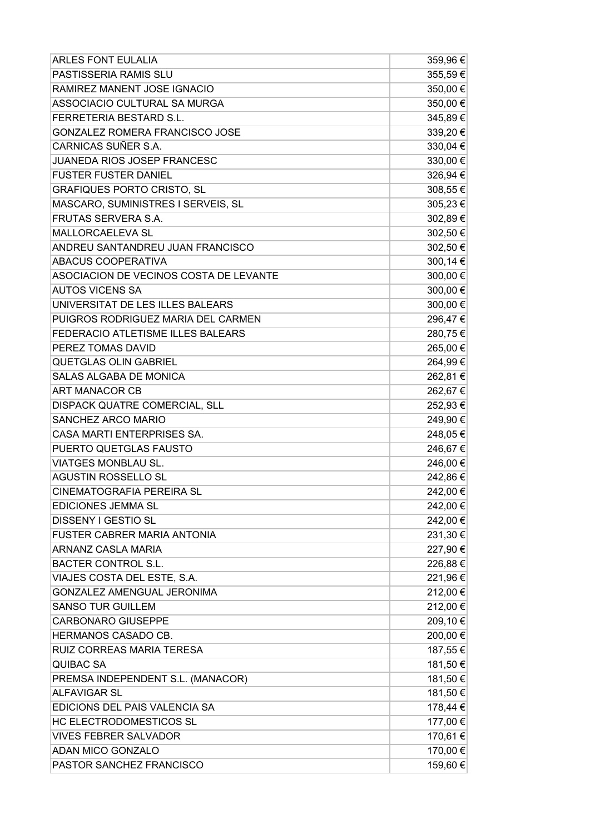| <b>ARLES FONT EULALIA</b>              | 359,96€  |
|----------------------------------------|----------|
| PASTISSERIA RAMIS SLU                  | 355,59€  |
| RAMIREZ MANENT JOSE IGNACIO            | 350,00 € |
| ASSOCIACIO CULTURAL SA MURGA           | 350,00 € |
| FERRETERIA BESTARD S.L.                | 345,89€  |
| GONZALEZ ROMERA FRANCISCO JOSE         | 339,20 € |
| CARNICAS SUÑER S.A.                    | 330,04 € |
| JUANEDA RIOS JOSEP FRANCESC            | 330,00€  |
| <b>FUSTER FUSTER DANIEL</b>            | 326,94€  |
| <b>GRAFIQUES PORTO CRISTO, SL</b>      | 308,55€  |
| MASCARO, SUMINISTRES I SERVEIS, SL     | 305,23 € |
| <b>FRUTAS SERVERA S.A.</b>             | 302,89€  |
| MALLORCAELEVA SL                       | 302,50€  |
| ANDREU SANTANDREU JUAN FRANCISCO       | 302,50€  |
| ABACUS COOPERATIVA                     | 300,14 € |
| ASOCIACION DE VECINOS COSTA DE LEVANTE | 300,00 € |
| <b>AUTOS VICENS SA</b>                 | 300,00€  |
| UNIVERSITAT DE LES ILLES BALEARS       | 300,00€  |
| PUIGROS RODRIGUEZ MARIA DEL CARMEN     | 296,47€  |
| FEDERACIO ATLETISME ILLES BALEARS      | 280,75€  |
| PEREZ TOMAS DAVID                      | 265,00 € |
| <b>QUETGLAS OLIN GABRIEL</b>           | 264,99€  |
| SALAS ALGABA DE MONICA                 | 262,81€  |
| ART MANACOR CB                         | 262,67€  |
| DISPACK QUATRE COMERCIAL, SLL          | 252,93€  |
| SANCHEZ ARCO MARIO                     | 249,90 € |
| CASA MARTI ENTERPRISES SA.             | 248,05€  |
| PUERTO QUETGLAS FAUSTO                 | 246,67€  |
| <b>VIATGES MONBLAU SL.</b>             | 246,00 € |
| <b>AGUSTIN ROSSELLO SL</b>             | 242,86 € |
| <b>CINEMATOGRAFIA PEREIRA SL</b>       | 242,00 € |
| EDICIONES JEMMA SL                     | 242,00 € |
| <b>DISSENY I GESTIO SL</b>             | 242,00 € |
| <b>FUSTER CABRER MARIA ANTONIA</b>     | 231,30 € |
| ARNANZ CASLA MARIA                     | 227,90 € |
| <b>BACTER CONTROL S.L.</b>             | 226,88€  |
| VIAJES COSTA DEL ESTE, S.A.            | 221,96 € |
| GONZALEZ AMENGUAL JERONIMA             | 212,00 € |
| <b>SANSO TUR GUILLEM</b>               | 212,00 € |
| <b>CARBONARO GIUSEPPE</b>              | 209,10€  |
| HERMANOS CASADO CB.                    | 200,00 € |
| RUIZ CORREAS MARIA TERESA              | 187,55 € |
| <b>QUIBAC SA</b>                       | 181,50 € |
| PREMSA INDEPENDENT S.L. (MANACOR)      | 181,50€  |
| <b>ALFAVIGAR SL</b>                    | 181,50 € |
| EDICIONS DEL PAIS VALENCIA SA          | 178,44 € |
| HC ELECTRODOMESTICOS SL                | 177,00 € |
| <b>VIVES FEBRER SALVADOR</b>           | 170,61 € |
| ADAN MICO GONZALO                      | 170,00 € |
| PASTOR SANCHEZ FRANCISCO               | 159,60 € |